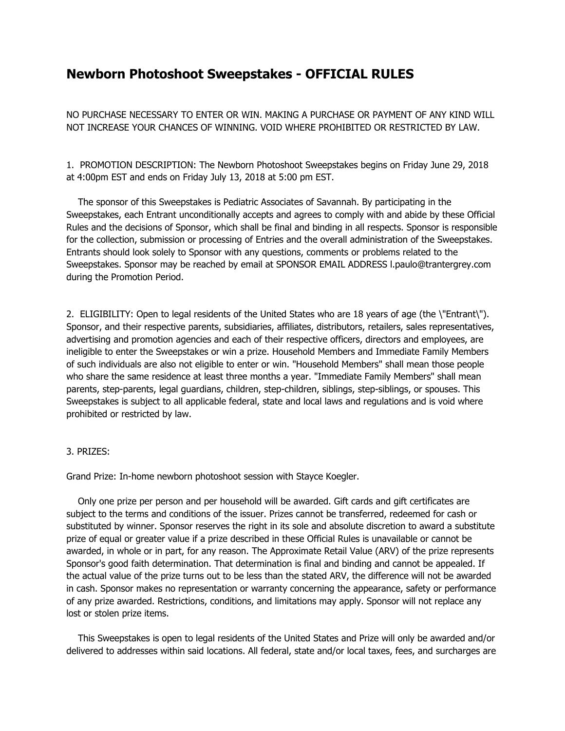## **Newborn Photoshoot Sweepstakes - OFFICIAL RULES**

NO PURCHASE NECESSARY TO ENTER OR WIN. MAKING A PURCHASE OR PAYMENT OF ANY KIND WILL NOT INCREASE YOUR CHANCES OF WINNING. VOID WHERE PROHIBITED OR RESTRICTED BY LAW.

1. PROMOTION DESCRIPTION: The Newborn Photoshoot Sweepstakes begins on Friday June 29, 2018 at 4:00pm EST and ends on Friday July 13, 2018 at 5:00 pm EST.

The sponsor of this Sweepstakes is Pediatric Associates of Savannah. By participating in the Sweepstakes, each Entrant unconditionally accepts and agrees to comply with and abide by these Official Rules and the decisions of Sponsor, which shall be final and binding in all respects. Sponsor is responsible for the collection, submission or processing of Entries and the overall administration of the Sweepstakes. Entrants should look solely to Sponsor with any questions, comments or problems related to the Sweepstakes. Sponsor may be reached by email at SPONSOR EMAIL ADDRESS l.paulo@trantergrey.com during the Promotion Period.

2. ELIGIBILITY: Open to legal residents of the United States who are 18 years of age (the \"Entrant\"). Sponsor, and their respective parents, subsidiaries, affiliates, distributors, retailers, sales representatives, advertising and promotion agencies and each of their respective officers, directors and employees, are ineligible to enter the Sweepstakes or win a prize. Household Members and Immediate Family Members of such individuals are also not eligible to enter or win. "Household Members" shall mean those people who share the same residence at least three months a year. "Immediate Family Members" shall mean parents, step-parents, legal guardians, children, step-children, siblings, step-siblings, or spouses. This Sweepstakes is subject to all applicable federal, state and local laws and regulations and is void where prohibited or restricted by law.

## 3. PRIZES:

Grand Prize: In-home newborn photoshoot session with Stayce Koegler.

Only one prize per person and per household will be awarded. Gift cards and gift certificates are subject to the terms and conditions of the issuer. Prizes cannot be transferred, redeemed for cash or substituted by winner. Sponsor reserves the right in its sole and absolute discretion to award a substitute prize of equal or greater value if a prize described in these Official Rules is unavailable or cannot be awarded, in whole or in part, for any reason. The Approximate Retail Value (ARV) of the prize represents Sponsor's good faith determination. That determination is final and binding and cannot be appealed. If the actual value of the prize turns out to be less than the stated ARV, the difference will not be awarded in cash. Sponsor makes no representation or warranty concerning the appearance, safety or performance of any prize awarded. Restrictions, conditions, and limitations may apply. Sponsor will not replace any lost or stolen prize items.

This Sweepstakes is open to legal residents of the United States and Prize will only be awarded and/or delivered to addresses within said locations. All federal, state and/or local taxes, fees, and surcharges are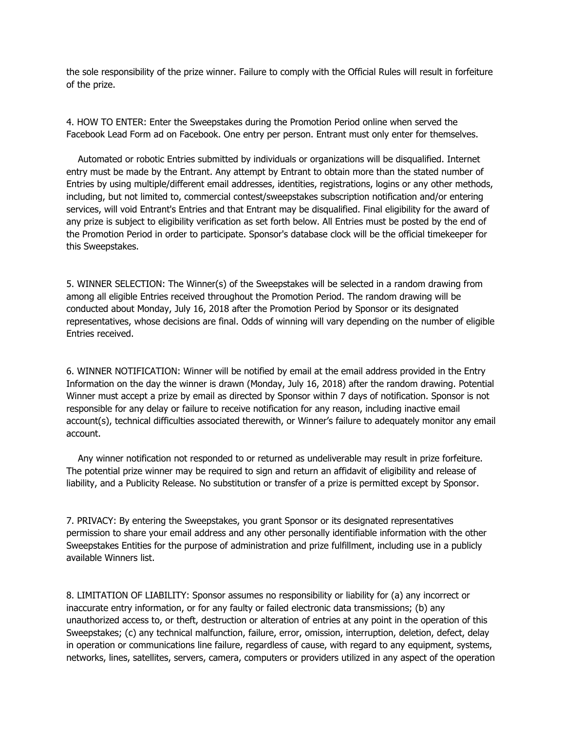the sole responsibility of the prize winner. Failure to comply with the Official Rules will result in forfeiture of the prize.

4. HOW TO ENTER: Enter the Sweepstakes during the Promotion Period online when served the Facebook Lead Form ad on Facebook. One entry per person. Entrant must only enter for themselves.

Automated or robotic Entries submitted by individuals or organizations will be disqualified. Internet entry must be made by the Entrant. Any attempt by Entrant to obtain more than the stated number of Entries by using multiple/different email addresses, identities, registrations, logins or any other methods, including, but not limited to, commercial contest/sweepstakes subscription notification and/or entering services, will void Entrant's Entries and that Entrant may be disqualified. Final eligibility for the award of any prize is subject to eligibility verification as set forth below. All Entries must be posted by the end of the Promotion Period in order to participate. Sponsor's database clock will be the official timekeeper for this Sweepstakes.

5. WINNER SELECTION: The Winner(s) of the Sweepstakes will be selected in a random drawing from among all eligible Entries received throughout the Promotion Period. The random drawing will be conducted about Monday, July 16, 2018 after the Promotion Period by Sponsor or its designated representatives, whose decisions are final. Odds of winning will vary depending on the number of eligible Entries received.

6. WINNER NOTIFICATION: Winner will be notified by email at the email address provided in the Entry Information on the day the winner is drawn (Monday, July 16, 2018) after the random drawing. Potential Winner must accept a prize by email as directed by Sponsor within 7 days of notification. Sponsor is not responsible for any delay or failure to receive notification for any reason, including inactive email account(s), technical difficulties associated therewith, or Winner's failure to adequately monitor any email account.

Any winner notification not responded to or returned as undeliverable may result in prize forfeiture. The potential prize winner may be required to sign and return an affidavit of eligibility and release of liability, and a Publicity Release. No substitution or transfer of a prize is permitted except by Sponsor.

7. PRIVACY: By entering the Sweepstakes, you grant Sponsor or its designated representatives permission to share your email address and any other personally identifiable information with the other Sweepstakes Entities for the purpose of administration and prize fulfillment, including use in a publicly available Winners list.

8. LIMITATION OF LIABILITY: Sponsor assumes no responsibility or liability for (a) any incorrect or inaccurate entry information, or for any faulty or failed electronic data transmissions; (b) any unauthorized access to, or theft, destruction or alteration of entries at any point in the operation of this Sweepstakes; (c) any technical malfunction, failure, error, omission, interruption, deletion, defect, delay in operation or communications line failure, regardless of cause, with regard to any equipment, systems, networks, lines, satellites, servers, camera, computers or providers utilized in any aspect of the operation